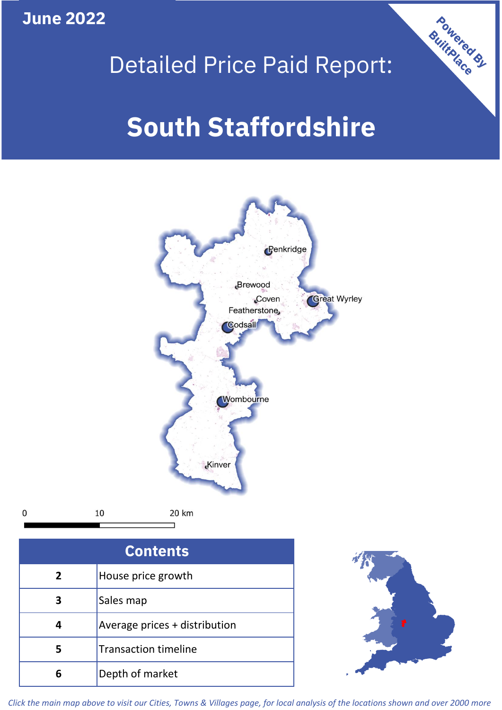**June 2022**

**5**

**4**

**3**

 $\mathbf 0$ 

Sales map

**6** Depth of market

Average prices + distribution

Transaction timeline



## Detailed Price Paid Report:

# **South Staffordshire**



*Click the main map above to visit our Cities, Towns & Villages page, for local analysis of the locations shown and over 2000 more*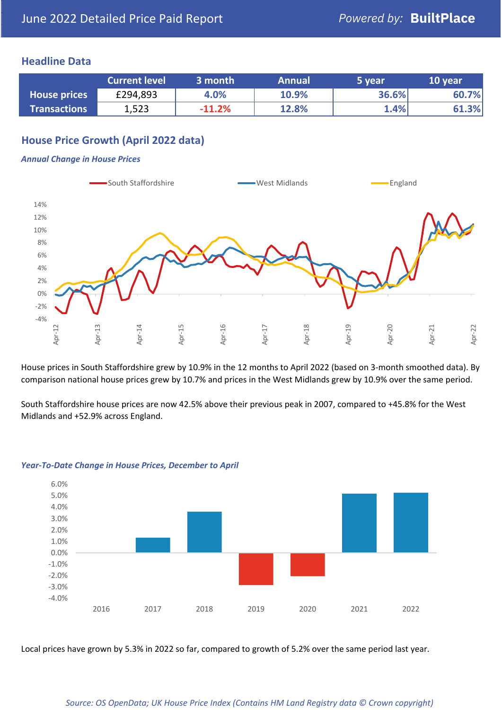## **Headline Data**

|                     | <b>Current level</b> | 3 month  | <b>Annual</b> | 5 year | 10 year |
|---------------------|----------------------|----------|---------------|--------|---------|
| <b>House prices</b> | £294,893             | 4.0%     | 10.9%         | 36.6%  | 60.7%   |
| <b>Transactions</b> | 1,523                | $-11.2%$ | 12.8%         | 1.4%   | 61.3%   |

## **House Price Growth (April 2022 data)**

#### *Annual Change in House Prices*



House prices in South Staffordshire grew by 10.9% in the 12 months to April 2022 (based on 3-month smoothed data). By comparison national house prices grew by 10.7% and prices in the West Midlands grew by 10.9% over the same period.

South Staffordshire house prices are now 42.5% above their previous peak in 2007, compared to +45.8% for the West Midlands and +52.9% across England.



#### *Year-To-Date Change in House Prices, December to April*

Local prices have grown by 5.3% in 2022 so far, compared to growth of 5.2% over the same period last year.

#### *Source: OS OpenData; UK House Price Index (Contains HM Land Registry data © Crown copyright)*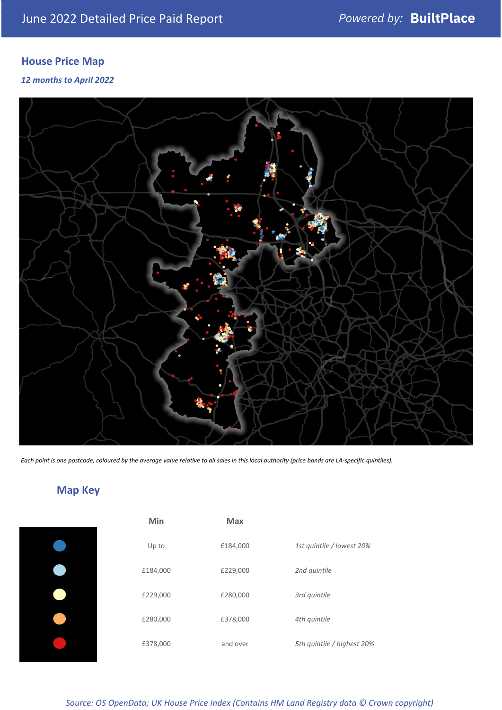## **House Price Map**

## *12 months to April 2022*



*Each point is one postcode, coloured by the average value relative to all sales in this local authority (price bands are LA-specific quintiles).*

## **Map Key**

| Min      | <b>Max</b> |                            |
|----------|------------|----------------------------|
| Up to    | £184,000   | 1st quintile / lowest 20%  |
| £184,000 | £229,000   | 2nd quintile               |
| £229,000 | £280,000   | 3rd quintile               |
| £280,000 | £378,000   | 4th quintile               |
| £378,000 | and over   | 5th quintile / highest 20% |

#### *Source: OS OpenData; UK House Price Index (Contains HM Land Registry data © Crown copyright)*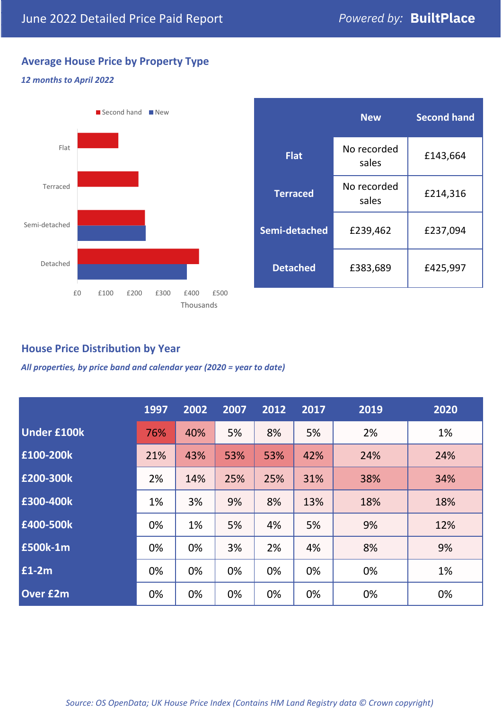## **Average House Price by Property Type**

## *12 months to April 2022*



|                 | <b>New</b>           | <b>Second hand</b> |  |  |
|-----------------|----------------------|--------------------|--|--|
| <b>Flat</b>     | No recorded<br>sales | £143,664           |  |  |
| <b>Terraced</b> | No recorded<br>sales | £214,316           |  |  |
| Semi-detached   | £239,462             | £237,094           |  |  |
| <b>Detached</b> | £383,689             | £425,997           |  |  |

## **House Price Distribution by Year**

*All properties, by price band and calendar year (2020 = year to date)*

|                    | 1997 | 2002 | 2007 | 2012 | 2017 | 2019 | 2020 |
|--------------------|------|------|------|------|------|------|------|
| <b>Under £100k</b> | 76%  | 40%  | 5%   | 8%   | 5%   | 2%   | 1%   |
| £100-200k          | 21%  | 43%  | 53%  | 53%  | 42%  | 24%  | 24%  |
| E200-300k          | 2%   | 14%  | 25%  | 25%  | 31%  | 38%  | 34%  |
| £300-400k          | 1%   | 3%   | 9%   | 8%   | 13%  | 18%  | 18%  |
| £400-500k          | 0%   | 1%   | 5%   | 4%   | 5%   | 9%   | 12%  |
| <b>£500k-1m</b>    | 0%   | 0%   | 3%   | 2%   | 4%   | 8%   | 9%   |
| £1-2m              | 0%   | 0%   | 0%   | 0%   | 0%   | 0%   | 1%   |
| <b>Over £2m</b>    | 0%   | 0%   | 0%   | 0%   | 0%   | 0%   | 0%   |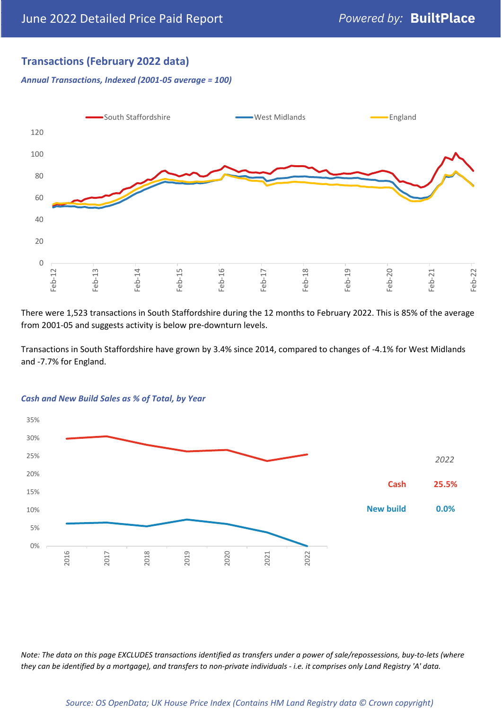## **Transactions (February 2022 data)**

*Annual Transactions, Indexed (2001-05 average = 100)*



There were 1,523 transactions in South Staffordshire during the 12 months to February 2022. This is 85% of the average from 2001-05 and suggests activity is below pre-downturn levels.

Transactions in South Staffordshire have grown by 3.4% since 2014, compared to changes of -4.1% for West Midlands and -7.7% for England.



#### *Cash and New Build Sales as % of Total, by Year*

*Note: The data on this page EXCLUDES transactions identified as transfers under a power of sale/repossessions, buy-to-lets (where they can be identified by a mortgage), and transfers to non-private individuals - i.e. it comprises only Land Registry 'A' data.*